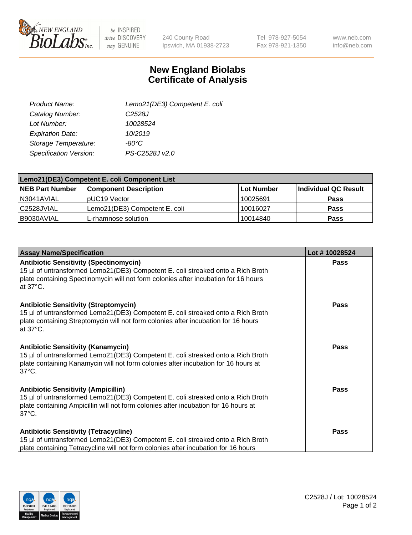

 $be$  INSPIRED drive DISCOVERY stay GENUINE

240 County Road Ipswich, MA 01938-2723 Tel 978-927-5054 Fax 978-921-1350

www.neb.com info@neb.com

## **New England Biolabs Certificate of Analysis**

| Lemo21(DE3) Competent E. coli |
|-------------------------------|
| C <sub>2528</sub> J           |
| 10028524                      |
| 10/2019                       |
| -80°C                         |
| PS-C2528J v2.0                |
|                               |

| Lemo21(DE3) Competent E. coli Component List |                               |                   |                             |  |
|----------------------------------------------|-------------------------------|-------------------|-----------------------------|--|
| <b>NEB Part Number</b>                       | <b>Component Description</b>  | <b>Lot Number</b> | <b>Individual QC Result</b> |  |
| I N3041AVIAL                                 | IpUC19 Vector                 | 10025691          | Pass                        |  |
| C2528JVIAL                                   | Lemo21(DE3) Competent E. coli | 10016027          | <b>Pass</b>                 |  |
| B9030AVIAL                                   | L-rhamnose solution           | 10014840          | <b>Pass</b>                 |  |

| <b>Assay Name/Specification</b>                                                                                                                                                                                                               | Lot #10028524 |
|-----------------------------------------------------------------------------------------------------------------------------------------------------------------------------------------------------------------------------------------------|---------------|
| <b>Antibiotic Sensitivity (Spectinomycin)</b><br>15 µl of untransformed Lemo21(DE3) Competent E. coli streaked onto a Rich Broth<br>plate containing Spectinomycin will not form colonies after incubation for 16 hours<br>at $37^{\circ}$ C. | Pass          |
| <b>Antibiotic Sensitivity (Streptomycin)</b><br>15 µl of untransformed Lemo21(DE3) Competent E. coli streaked onto a Rich Broth<br>plate containing Streptomycin will not form colonies after incubation for 16 hours<br>at $37^{\circ}$ C.   | Pass          |
| <b>Antibiotic Sensitivity (Kanamycin)</b><br>15 µl of untransformed Lemo21(DE3) Competent E. coli streaked onto a Rich Broth<br>plate containing Kanamycin will not form colonies after incubation for 16 hours at<br>$37^{\circ}$ C.         | <b>Pass</b>   |
| <b>Antibiotic Sensitivity (Ampicillin)</b><br>15 µl of untransformed Lemo21(DE3) Competent E. coli streaked onto a Rich Broth<br>plate containing Ampicillin will not form colonies after incubation for 16 hours at<br>$37^{\circ}$ C.       | <b>Pass</b>   |
| <b>Antibiotic Sensitivity (Tetracycline)</b><br>15 µl of untransformed Lemo21(DE3) Competent E. coli streaked onto a Rich Broth<br>plate containing Tetracycline will not form colonies after incubation for 16 hours                         | Pass          |